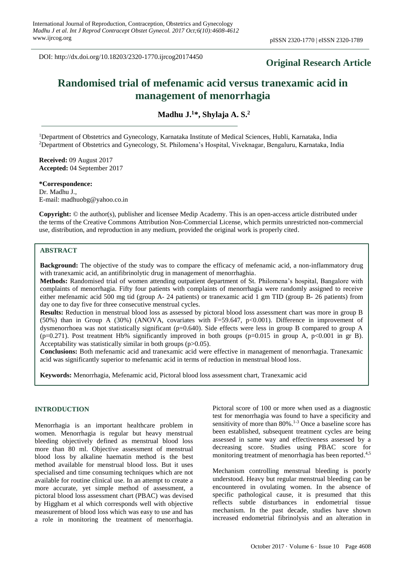DOI: http://dx.doi.org/10.18203/2320-1770.ijrcog20174450

## **Original Research Article**

# **Randomised trial of mefenamic acid versus tranexamic acid in management of menorrhagia**

**Madhu J. <sup>1</sup>\*, Shylaja A. S. 2**

<sup>1</sup>Department of Obstetrics and Gynecology, Karnataka Institute of Medical Sciences, Hubli, Karnataka, India <sup>2</sup>Department of Obstetrics and Gynecology, St. Philomena's Hospital, Viveknagar, Bengaluru, Karnataka, India

**Received:** 09 August 2017 **Accepted:** 04 September 2017

**\*Correspondence:** Dr. Madhu J., E-mail: madhuobg@yahoo.co.in

**Copyright:** © the author(s), publisher and licensee Medip Academy. This is an open-access article distributed under the terms of the Creative Commons Attribution Non-Commercial License, which permits unrestricted non-commercial use, distribution, and reproduction in any medium, provided the original work is properly cited.

## **ABSTRACT**

**Background:** The objective of the study was to compare the efficacy of mefenamic acid, a non-inflammatory drug with tranexamic acid, an antifibrinolytic drug in management of menorrhaghia.

**Methods:** Randomised trial of women attending outpatient department of St. Philomena's hospital, Bangalore with complaints of menorrhagia. Fifty four patients with complaints of menorrhagia were randomly assigned to receive either mefenamic acid 500 mg tid (group A- 24 patients) or tranexamic acid 1 gm TID (group B- 26 patients) from day one to day five for three consecutive menstrual cycles.

**Results:** Reduction in menstrual blood loss as assessed by pictoral blood loss assessment chart was more in group B (50%) than in Group A (30%) (ANOVA, covariates with F=59.647, p<0.001). Difference in improvement of dysmenorrhoea was not statistically significant (p=0.640). Side effects were less in group B compared to group A (p=0.271). Post treatment Hb% significantly improved in both groups (p=0.015 in group A, p<0.001 in gr B). Acceptability was statistically similar in both groups (p>0.05).

**Conclusions:** Both mefenamic acid and tranexamic acid were effective in management of menorrhagia. Tranexamic acid was significantly superior to mefenamic acid in terms of reduction in menstrual blood loss.

**Keywords:** Menorrhagia, Mefenamic acid, Pictoral blood loss assessment chart, Tranexamic acid

## **INTRODUCTION**

Menorrhagia is an important healthcare problem in women. Menorrhagia is regular but heavy menstrual bleeding objectively defined as menstrual blood loss more than 80 ml. Objective assessment of menstrual blood loss by alkaline haematin method is the best method available for menstrual blood loss. But it uses specialised and time consuming techniques which are not available for routine clinical use. In an attempt to create a more accurate, yet simple method of assessment, a pictoral blood loss assessment chart (PBAC) was devised by Higgham et al which corresponds well with objective measurement of blood loss which was easy to use and has a role in monitoring the treatment of menorrhagia. Pictoral score of 100 or more when used as a diagnostic test for menorrhagia was found to have a specificity and sensitivity of more than 80%.<sup>1-3</sup> Once a baseline score has been established, subsequent treatment cycles are being assessed in same way and effectiveness assessed by a decreasing score. Studies using PBAC score for monitoring treatment of menorrhagia has been reported. 4,5

Mechanism controlling menstrual bleeding is poorly understood. Heavy but regular menstrual bleeding can be encountered in ovulating women. In the absence of specific pathological cause, it is presumed that this reflects subtle disturbances in endometrial tissue mechanism. In the past decade, studies have shown increased endometrial fibrinolysis and an alteration in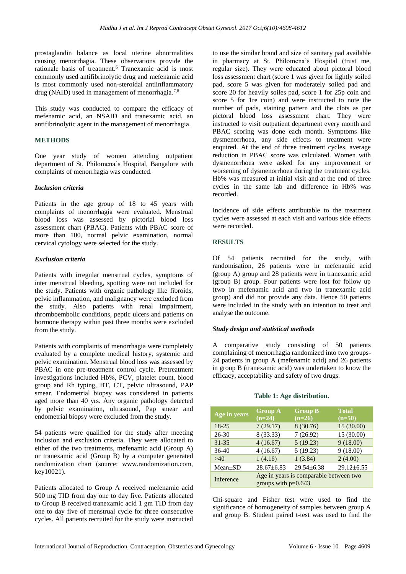prostaglandin balance as local uterine abnormalities causing menorrhagia. These observations provide the rationale basis of treatment. <sup>6</sup> Tranexamic acid is most commonly used antifibrinolytic drug and mefenamic acid is most commonly used non-steroidal antiinflammatory drug (NAID) used in management of menorrhagia.<sup>7,8</sup>

This study was conducted to compare the efficacy of mefenamic acid, an NSAID and tranexamic acid, an antifibrinolytic agent in the management of menorrhagia.

## **METHODS**

One year study of women attending outpatient department of St. Philomena's Hospital, Bangalore with complaints of menorrhagia was conducted.

## *Inclusion criteria*

Patients in the age group of 18 to 45 years with complaints of menorrhagia were evaluated. Menstrual blood loss was assessed by pictorial blood loss assessment chart (PBAC). Patients with PBAC score of more than 100, normal pelvic examination, normal cervical cytology were selected for the study.

## *Exclusion criteria*

Patients with irregular menstrual cycles, symptoms of inter menstrual bleeding, spotting were not included for the study. Patients with organic pathology like fibroids, pelvic inflammation, and malignancy were excluded from the study. Also patients with renal impairment, thromboembolic conditions, peptic ulcers and patients on hormone therapy within past three months were excluded from the study.

Patients with complaints of menorrhagia were completely evaluated by a complete medical history, systemic and pelvic examination. Menstrual blood loss was assessed by PBAC in one pre-treatment control cycle. Pretreatment investigations included Hb%, PCV, platelet count, blood group and Rh typing, BT, CT, pelvic ultrasound, PAP smear. Endometrial biopsy was considered in patients aged more than 40 yrs. Any organic pathology detected by pelvic examination, ultrasound, Pap smear and endometrial biopsy were excluded from the study.

54 patients were qualified for the study after meeting inclusion and exclusion criteria. They were allocated to either of the two treatments, mefenamic acid (Group A) or tranexamic acid (Group B) by a computer generated randomization chart (source: www.randomization.com, key10021).

Patients allocated to Group A received mefenamic acid 500 mg TID from day one to day five. Patients allocated to Group B received tranexamic acid 1 gm TID from day one to day five of menstrual cycle for three consecutive cycles. All patients recruited for the study were instructed to use the similar brand and size of sanitary pad available in pharmacy at St. Philomena's Hospital (trust me, regular size). They were educated about pictoral blood loss assessment chart (score 1 was given for lightly soiled pad, score 5 was given for moderately soiled pad and score 20 for heavily soiles pad, score 1 for 25p coin and score 5 for 1re coin) and were instructed to note the number of pads, staining pattern and the clots as per pictoral blood loss assessment chart. They were instructed to visit outpatient department every month and PBAC scoring was done each month. Symptoms like dysmenorrhoea, any side effects to treatment were enquired. At the end of three treatment cycles, average reduction in PBAC score was calculated. Women with dysmenorrhoea were asked for any improvement or worsening of dysmenorrhoea during the treatment cycles. Hb% was measured at initial visit and at the end of three cycles in the same lab and difference in Hb% was recorded.

Incidence of side effects attributable to the treatment cycles were assessed at each visit and various side effects were recorded.

## **RESULTS**

Of 54 patients recruited for the study, with randomisation, 26 patients were in mefenamic acid (group A) group and 28 patients were in tranexamic acid (group B) group. Four patients were lost for follow up (two in mefenamic acid and two in tranexamic acid group) and did not provide any data. Hence 50 patients were included in the study with an intention to treat and analyse the outcome.

## *Study design and statistical methods*

A comparative study consisting of 50 patients complaining of menorrhagia randomized into two groups-24 patients in group A (mefenamic acid) and 26 patients in group B (tranexamic acid) was undertaken to know the efficacy, acceptability and safety of two drugs.

#### **Table 1: Age distribution.**

| Age in years  | <b>Group A</b><br>$(n=24)$                                      | <b>Group B</b><br>$(n=26)$ | <b>Total</b><br>$(n=50)$ |
|---------------|-----------------------------------------------------------------|----------------------------|--------------------------|
| 18-25         | 7(29.17)                                                        | 8 (30.76)                  | 15(30.00)                |
| $26 - 30$     | 8 (33.33)                                                       | 7(26.92)                   | 15 (30.00)               |
| $31 - 35$     | 4(16.67)                                                        | 5(19.23)                   | 9(18.00)                 |
| $36-40$       | 4(16.67)                                                        | 5(19.23)                   | 9(18.00)                 |
| >40           | 1(4.16)                                                         | 1(3.84)                    | 2(4.00)                  |
| $Mean \pm SD$ | $28.67\pm 6.83$                                                 | $29.54\pm 6.38$            | $29.12\pm 6.55$          |
| Inference     | Age in years is comparable between two<br>groups with $p=0.643$ |                            |                          |

Chi-square and Fisher test were used to find the significance of homogeneity of samples between group A and group B. Student paired t-test was used to find the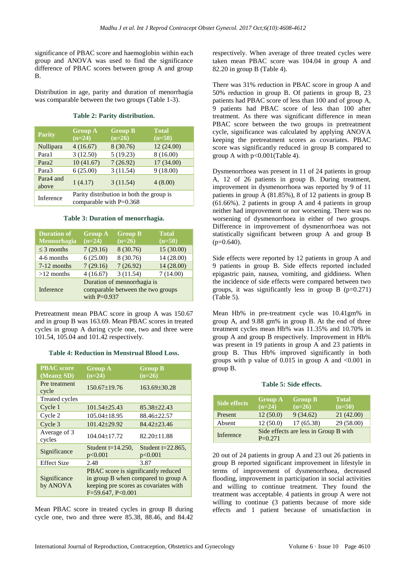significance of PBAC score and haemoglobin within each group and ANOVA was used to find the significance difference of PBAC scores between group A and group B.

Distribution in age, parity and duration of menorrhagia was comparable between the two groups (Table 1-3).

#### **Table 2: Parity distribution.**

| <b>Parity</b>      | <b>Group A</b><br>$(n=24)$                                            | <b>Group B</b><br>$(n=26)$ | <b>Total</b><br>$(n=50)$ |
|--------------------|-----------------------------------------------------------------------|----------------------------|--------------------------|
| Nullipara          | 4(16.67)                                                              | 8 (30.76)                  | 12(24.00)                |
| Para1              | 3(12.50)                                                              | 5(19.23)                   | 8 (16.00)                |
| Para <sub>2</sub>  | 10(41.67)                                                             | 7(26.92)                   | 17 (34.00)               |
| Para3              | 6(25.00)                                                              | 3(11.54)                   | 9(18.00)                 |
| Para4 and<br>above | 1(4.17)                                                               | 3(11.54)                   | 4(8.00)                  |
| Inference          | Parity distribution in both the group is<br>comparable with $P=0.368$ |                            |                          |

### **Table 3: Duration of menorrhagia.**

| <b>Duration of</b><br><b>Mennorhagia</b> | <b>Group A</b><br>$(n=24)$                                                         | <b>Group B</b><br>$(n=26)$ | <b>Total</b><br>$(n=50)$ |
|------------------------------------------|------------------------------------------------------------------------------------|----------------------------|--------------------------|
| $\leq$ 3 months                          | 7(29.16)                                                                           | 8 (30.76)                  | 15 (30.00)               |
| 4-6 months                               | 6(25.00)                                                                           | 8 (30.76)                  | 14 (28.00)               |
| 7-12 months                              | 7(29.16)                                                                           | 7(26.92)                   | 14 (28.00)               |
| $>12$ months                             | 4(16.67)                                                                           | 3(11.54)                   | 7(14.00)                 |
| Inference                                | Duration of mennorrhagia is<br>comparable between the two groups<br>with $P=0.937$ |                            |                          |

Pretreatment mean PBAC score in group A was 150.67 and in group B was 163.69. Mean PBAC scores in treated cycles in group A during cycle one, two and three were 101.54, 105.04 and 101.42 respectively.

#### **Table 4: Reduction in Menstrual Blood Loss.**

| <b>PBAC</b> score<br>(Mean± SD) | <b>Group A</b><br>$(n=24)$                                                                                                                 | <b>Group B</b><br>$(n=26)$      |
|---------------------------------|--------------------------------------------------------------------------------------------------------------------------------------------|---------------------------------|
| Pre treatment<br>cycle          | $150.67 \pm 19.76$                                                                                                                         | $163.69 \pm 30.28$              |
| <b>Treated cycles</b>           |                                                                                                                                            |                                 |
| Cycle 1                         | $101.54 \pm 25.43$                                                                                                                         | 85.38±22.43                     |
| Cycle 2                         | $105.04 \pm 18.95$                                                                                                                         | 88.46±22.57                     |
| Cycle 3                         | 101.42±29.92                                                                                                                               | 84.42±23.46                     |
| Average of 3<br>cycles          | $104.04 \pm 17.72$                                                                                                                         | 82.20±11.88                     |
| Significance                    | Student $t=14.250$ ,<br>p<0.001                                                                                                            | Student $t=22.865$ ,<br>p<0.001 |
| <b>Effect Size</b>              | 2.48                                                                                                                                       | 3.87                            |
| Significance<br>by ANOVA        | PBAC score is significantly reduced<br>in group B when compared to group A<br>keeping pre scores as covariates with<br>$F=59.647, P<0.001$ |                                 |

Mean PBAC score in treated cycles in group B during cycle one, two and three were 85.38, 88.46, and 84.42 respectively. When average of three treated cycles were taken mean PBAC score was 104.04 in group A and 82.20 in group B (Table 4).

There was 31% reduction in PBAC score in group A and 50% reduction in group B. Of patients in group B, 23 patients had PBAC score of less than 100 and of group A, 9 patients had PBAC score of less than 100 after treatment. As there was significant difference in mean PBAC score between the two groups in pretreatment cycle, significance was calculated by applying ANOVA keeping the pretreatment scores as covariates. PBAC score was significantly reduced in group B compared to group A with p<0.001(Table 4).

Dysmenorrhoea was present in 11 of 24 patients in group A, 12 of 26 patients in group B. During treatment, improvement in dysmenorrhoea was reported by 9 of 11 patients in group A (81.85%), 8 of 12 patients in group B (61.66%). 2 patients in group A and 4 patients in group neither had improvement or nor worsening. There was no worsening of dysmenorrhoea in either of two groups. Difference in improvement of dysmenorrhoea was not statistically significant between group A and group B  $(p=0.640)$ .

Side effects were reported by 12 patients in group A and 9 patients in group B. Side effects reported included epigastric pain, nausea, vomiting, and giddiness. When the incidence of side effects were compared between two groups, it was significantly less in group B  $(p=0.271)$ (Table 5).

Mean Hb% in pre-treatment cycle was 10.41gm% in group A, and 9.88 gm% in group B. At the end of three treatment cycles mean Hb% was 11.35% and 10.70% in group A and group B respectively. Improvement in Hb% was present in 19 patients in group A and 23 patients in group B. Thus Hb% improved significantly in both groups with p value of  $0.015$  in group A and  $\langle 0.001$  in group B.

#### **Table 5: Side effects.**

| <b>Side effects</b> | <b>Group A</b><br>$(n=24)$ | <b>Group B</b><br>$(n=26)$            | <b>Total</b><br>$(n=50)$ |
|---------------------|----------------------------|---------------------------------------|--------------------------|
| Present             | 12(50.0)                   | 9(34.62)                              | 21(42.00)                |
| Absent              | 12(50.0)                   | 17 (65.38)                            | 29 (58.00)               |
| Inference           | $P=0.271$                  | Side effects are less in Group B with |                          |

20 out of 24 patients in group A and 23 out 26 patients in group B reported significant improvement in lifestyle in terms of improvement of dysmenorrhoea, decreased flooding, improvement in participation in social activities and willing to continue treatment. They found the treatment was acceptable. 4 patients in group A were not willing to continue (3 patients because of more side effects and 1 patient because of unsatisfaction in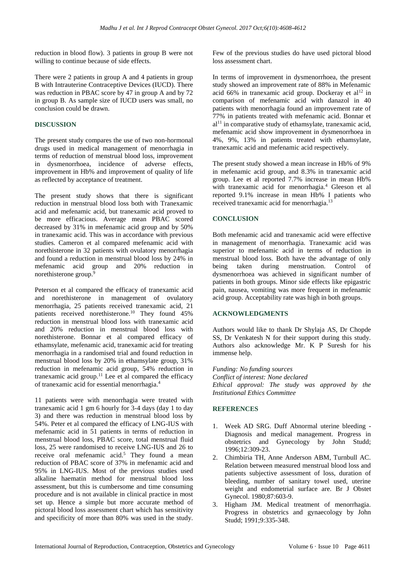reduction in blood flow). 3 patients in group B were not willing to continue because of side effects.

There were 2 patients in group A and 4 patients in group B with Intrauterine Contraceptive Devices (IUCD). There was reduction in PBAC score by 47 in group A and by 72 in group B. As sample size of IUCD users was small, no conclusion could be drawn.

## **DISCUSSION**

The present study compares the use of two non-hormonal drugs used in medical management of menorrhagia in terms of reduction of menstrual blood loss, improvement in dysmenorrhoea, incidence of adverse effects, improvement in Hb% and improvement of quality of life as reflected by acceptance of treatment.

The present study shows that there is significant reduction in menstrual blood loss both with Tranexamic acid and mefenamic acid, but tranexamic acid proved to be more efficacious. Average mean PBAC scored decreased by 31% in mefenamic acid group and by 50% in tranexamic acid. This was in accordance with previous studies. Cameron et al compared mefenamic acid with norethisterone in 32 patients with ovulatory menorrhagia and found a reduction in menstrual blood loss by 24% in mefenamic acid group and 20% reduction in norethisterone group.<sup>9</sup>

Peterson et al compared the efficacy of tranexamic acid and norethisterone in management of ovulatory menorrhagia, 25 patients received tranexamic acid, 21 patients received norethisterone.<sup>10</sup> They found 45% reduction in menstrual blood loss with tranexamic acid and 20% reduction in menstrual blood loss with norethisterone. Bonnar et al compared efficacy of ethamsylate, mefenamic acid, tranexamic acid for treating menorrhagia in a randomised trial and found reduction in menstrual blood loss by 20% in ethamsylate group, 31% reduction in mefenamic acid group, 54% reduction in tranexamic acid group.<sup>11</sup> Lee et al compared the efficacy of tranexamic acid for essential menorrhagia.<sup>4</sup>

11 patients were with menorrhagia were treated with tranexamic acid 1 gm 6 hourly for 3-4 days (day 1 to day 3) and there was reduction in menstrual blood loss by 54%. Peter et al compared the efficacy of LNG-IUS with mefenamic acid in 51 patients in terms of reduction in menstrual blood loss, PBAC score, total menstrual fluid loss, 25 were randomised to receive LNG-IUS and 26 to receive oral mefenamic acid.<sup>5</sup> They found a mean reduction of PBAC score of 37% in mefenamic acid and 95% in LNG-IUS. Most of the previous studies used alkaline haematin method for menstrual blood loss assessment, but this is cumbersome and time consuming procedure and is not available in clinical practice in most set up. Hence a simple but more accurate method of pictoral blood loss assessment chart which has sensitivity and specificity of more than 80% was used in the study. Few of the previous studies do have used pictoral blood loss assessment chart.

In terms of improvement in dysmenorrhoea, the present study showed an improvement rate of 88% in Mefenamic acid 66% in tranexamic acid group. Dockeray et  $al<sup>12</sup>$  in comparison of mefenamic acid with danazol in 40 patients with menorrhagia found an improvement rate of 77% in patients treated with mefenamic acid. Bonnar et  $al<sup>11</sup>$  in comparative study of ethamsylate, tranexamic acid, mefenamic acid show improvement in dysmenorrhoea in 4%, 9%, 13% in patients treated with ethamsylate, tranexamic acid and mefenamic acid respectively.

The present study showed a mean increase in Hb% of 9% in mefenamic acid group, and 8.3% in tranexamic acid group. Lee et al reported 7.7% increase in mean Hb% with tranexamic acid for menorrhagia.<sup>4</sup> Gleeson et al reported 9.1% increase in mean Hb% I patients who received tranexamic acid for menorrhagia.<sup>13</sup>

## **CONCLUSION**

Both mefenamic acid and tranexamic acid were effective in management of menorrhagia. Tranexamic acid was superior to mefenamic acid in terms of reduction in menstrual blood loss. Both have the advantage of only being taken during menstruation. Control of dysmenorrhoea was achieved in significant number of patients in both groups. Minor side effects like epigastric pain, nausea, vomiting was more frequent in mefenamic acid group. Acceptability rate was high in both groups.

#### **ACKNOWLEDGMENTS**

Authors would like to thank Dr Shylaja AS, Dr Chopde SS, Dr Venkatesh N for their support during this study. Authors also acknowledge Mr. K P Suresh for his immense help.

*Funding: No funding sources Conflict of interest: None declared Ethical approval: The study was approved by the Institutional Ethics Committee*

## **REFERENCES**

- 1. Week AD SRG. Duff Abnormal uterine bleeding Diagnosis and medical management. Progress in obstetrics and Gynecology by John Studd; 1996;12:309-23.
- 2. Chimbiria TH, Anne Anderson ABM, Turnbull AC. Relation between measured menstrual blood loss and patients subjective assessment of loss, duration of bleeding, number of sanitary towel used, uterine weight and endometrial surface are. Br J Obstet Gynecol. 1980;87:603-9.
- 3. Higham JM. Medical treatment of menorrhagia. Progress in obstetrics and gynaecology by John Studd; 1991;9:335-348.